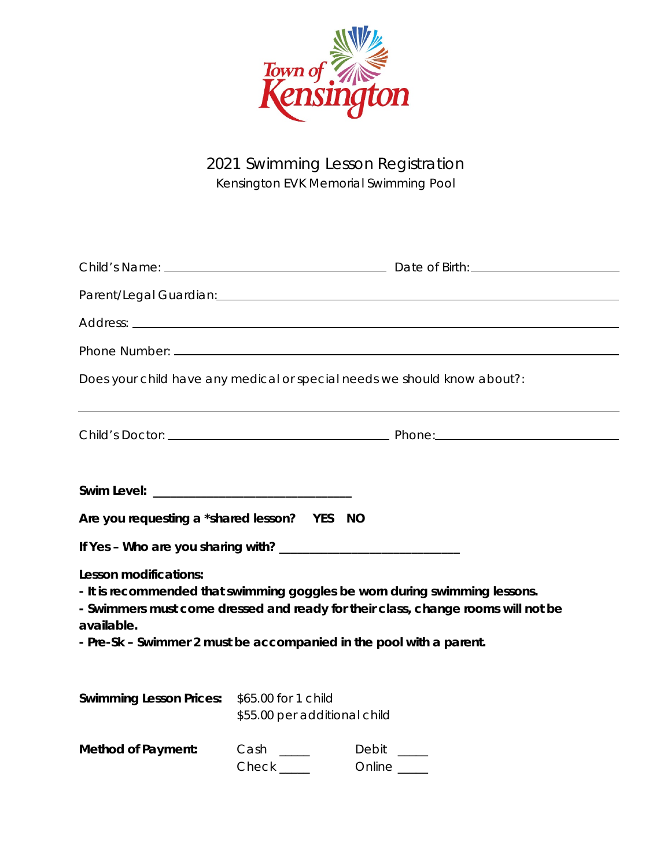

2021 Swimming Lesson Registration Kensington EVK Memorial Swimming Pool

| Does your child have any medical or special needs we should know about?: |                                      |                                                                                                                                                                                                                                       |
|--------------------------------------------------------------------------|--------------------------------------|---------------------------------------------------------------------------------------------------------------------------------------------------------------------------------------------------------------------------------------|
|                                                                          |                                      |                                                                                                                                                                                                                                       |
| Are you requesting a *shared lesson? YES NO                              |                                      |                                                                                                                                                                                                                                       |
|                                                                          |                                      |                                                                                                                                                                                                                                       |
| Lesson modifications:<br>available.                                      |                                      | - It is recommended that swimming goggles be worn during swimming lessons.<br>- Swimmers must come dressed and ready for their class, change rooms will not be<br>- Pre-Sk - Swimmer 2 must be accompanied in the pool with a parent. |
| Swimming Lesson Prices: \$65.00 for 1 child                              | \$55.00 per additional child         |                                                                                                                                                                                                                                       |
| <b>Method of Payment:</b>                                                | $Cash \_$<br>$Check$ <sub>____</sub> | Debit ___<br>Online ____                                                                                                                                                                                                              |